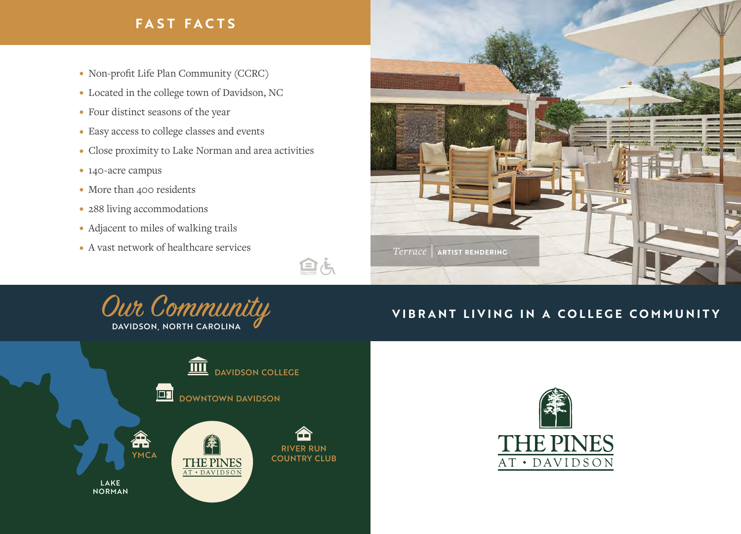## **FAST FACTS**

- Non-profit Life Plan Community (CCRC)
- Located in the college town of Davidson, NC
- Four distinct seasons of the year
- Easy access to college classes and events
- Close proximity to Lake Norman and area activities
- 140-acre campus
- More than 400 residents
- 288 living accommodations
- Adjacent to miles of walking trails
- A vast network of healthcare services



# Our Community

自占

# **VIBRANT LIVING IN A COLLEGE COMMUNITY**



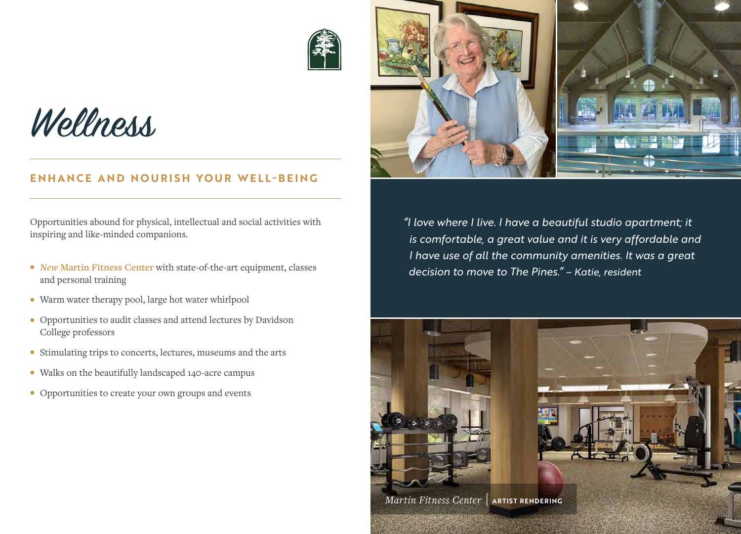



Wellness

#### **ENHANCE AND NOURISH YOUR WELL- BEING**

Opportunities abound for physical, intellectual and social activities with inspiring and like-minded companions.

- *New* **Martin Fitness Center** with state-of-the-art equipment, classes and personal training
- Warm water therapy pool, large hot water whirlpool
- Opportunities to audit classes and attend lectures by Davidson College professors
- Stimulating trips to concerts, lectures, museums and the arts
- Walks on the beautifully landscaped 140-acre campus
- Opportunities to create your own groups and events

*"I love where I live. I have a beautiful studio apartment; it is comfortable, a great value and it is very affordable and I have use of all the community amenities. It was a great decision to move to The Pines." – Katie, resident*

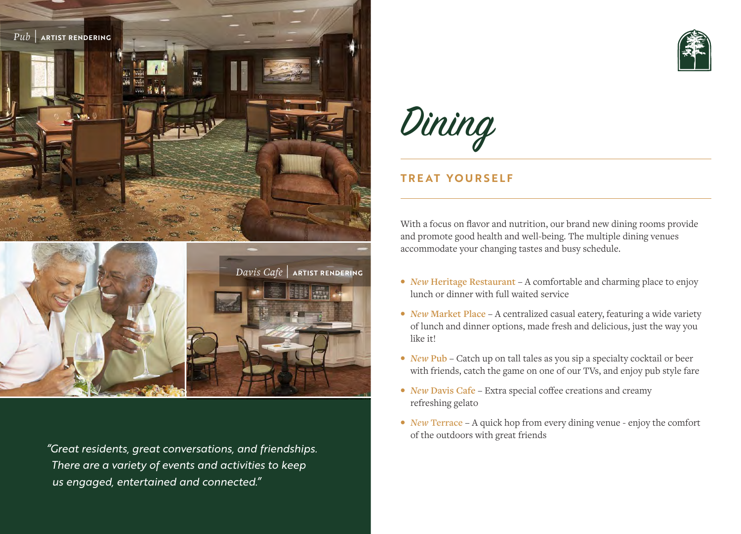

*"Great residents, great conversations, and friendships. There are a variety of events and activities to keep us engaged, entertained and connected."*



Dining

#### **TREAT YOURSELF**

With a focus on flavor and nutrition, our brand new dining rooms provide and promote good health and well-being. The multiple dining venues accommodate your changing tastes and busy schedule.

- *New* **Heritage Restaurant** A comfortable and charming place to enjoy lunch or dinner with full waited service
- *New* **Market Place** A centralized casual eatery, featuring a wide variety of lunch and dinner options, made fresh and delicious, just the way you like it!
- *New* Pub Catch up on tall tales as you sip a specialty cocktail or beer with friends, catch the game on one of our TVs, and enjoy pub style fare
- *New* **Davis Cafe** Extra special coffee creations and creamy refreshing gelato
- *New* **Terrace** A quick hop from every dining venue enjoy the comfort of the outdoors with great friends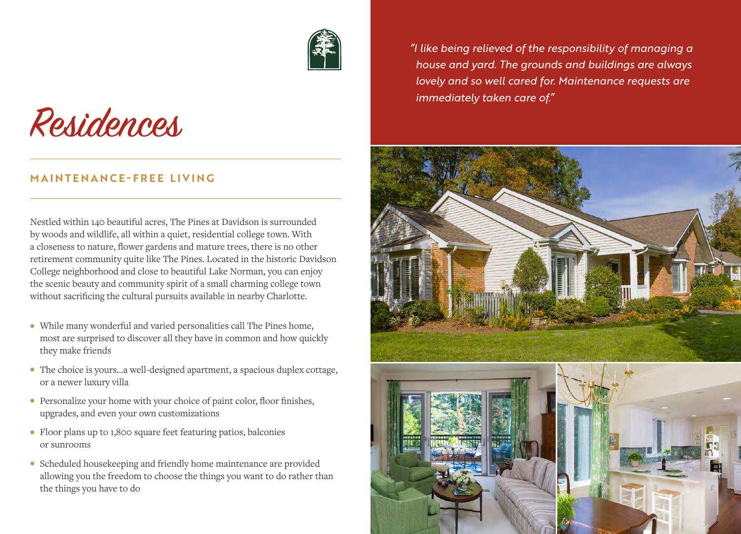

Residences

#### **MAINTENANCE - FREE LIVING**

Nestled within 140 beautiful acres, The Pines at Davidson is surrounded by woods and wildlife, all within a quiet, residential college town. With a closeness to nature, flower gardens and mature trees, there is no other retirement community quite like The Pines. Located in the historic Davidson College neighborhood and close to beautiful Lake Norman, you can enjoy the scenic beauty and community spirit of a small charming college town without sacrificing the cultural pursuits available in nearby Charlotte.

- While many wonderful and varied personalities call The Pines home, most are surprised to discover all they have in common and how quickly they make friends
- The choice is yours…a well-designed apartment, a spacious duplex cottage, or a newer luxury villa
- Personalize your home with your choice of paint color, floor finishes, upgrades, and even your own customizations
- Floor plans up to 1,800 square feet featuring patios, balconies or sunrooms
- Scheduled housekeeping and friendly home maintenance are provided allowing you the freedom to choose the things you want to do rather than the things you have to do

*"I like being relieved of the responsibility of managing a house and yard. The grounds and buildings are always lovely and so well cared for. Maintenance requests are immediately taken care of."*

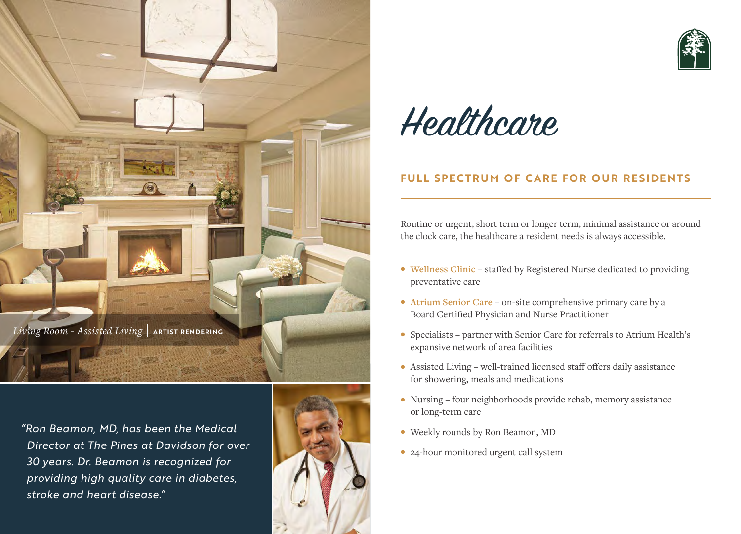

*"Ron Beamon, MD, has been the Medical Director at The Pines at Davidson for over 30 years. Dr. Beamon is recognized for providing high quality care in diabetes, stroke and heart disease."* 







### **FULL SPECTRUM OF CARE FOR OUR RESIDENTS**

Routine or urgent, short term or longer term, minimal assistance or around the clock care, the healthcare a resident needs is always accessible.

- **Wellness Clinic** staffed by Registered Nurse dedicated to providing preventative care
- **Atrium Senior Care** on-site comprehensive primary care by a Board Certified Physician and Nurse Practitioner
- Specialists partner with Senior Care for referrals to Atrium Health's expansive network of area facilities
- Assisted Living well-trained licensed staff offers daily assistance for showering, meals and medications
- Nursing four neighborhoods provide rehab, memory assistance or long-term care
- Weekly rounds by Ron Beamon, MD
- 24-hour monitored urgent call system